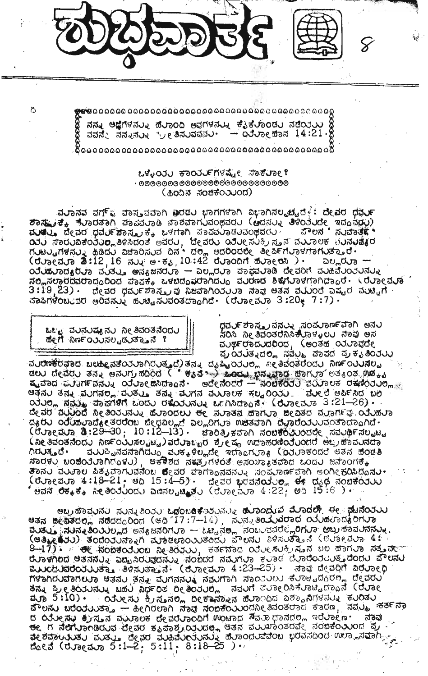**୍ୟୁକ୍ଷ ଉ**ଦ୍ଧରେ ଉତ୍ତର ଉତ୍ତର ଉତ୍ତର ଉତ୍ତର ଉତ୍ତର ଉତ୍ତର ଉତ୍ତର ଉତ୍ତର ଉତ୍ତର ଉତ୍ତର ଉତ୍ତର ଉତ୍ତର ଉତ୍ତର ଉତ୍ତର ଉତ୍ତର ଉତ୍ତ

ನನ್ನು ಅಜ್ಞೆಗಳನ್ನು ಹೆಲಾಂದಿ ಅವುಗಳನ್ನು ಕೈ್ಕಲಾಂಡು ನಡೆಯನು ಕ್ಷಿ<br>ವವನ್ನು ನನ್ನುನ್ನು ಬ್ರ್ಯಾತಿಸುವವ್ಯನು. — ಂರ್ಲ್ಮೊಹಾನ 14:21.ಕ್ಷಿ

## ಒಳ್ಳೆಯು ಕಾರ್ಯಗಳಷ್ಟೇ ಸಾಕೆಲಾಲಿ (ಹಿಂದಿನ ಸಂಚಿಕೆಂತುಂದ)

.ವರಾನವ ವರ್ಗ್ಯ ವಾಸ್ತುವವಾಗಿ ವರಡರ ಭಾಗಗಳಾಗಿ ವಿಭಾಗಿಸಲ್ಪಟ್ಟದ*್ದೆ* ದೇವರ ಧನ್ರರ್ avau, dead pauf tones to witten avaavadadomadu  $\alpha$   $\alpha$  $\alpha$  $\beta$ ಸಲ್ಲಿಸಲಾರದವರಾದ್ದರಿಂದ ಪಾಪಕ್ಕೆ ಒಳಬಿದ್ದವರಾಗಿದ್ದು ವವರಣದ ಶಿಕ್ಷೆಗೆವಾಳಗಾಗಿದ್ದಾರೆ. (ರವಾಲಮೂ  $3\!:\!19$ ,23) - ರೇವರ ಧರ್ಮಶಾಸ್ತ್ರವು ನಿಜವಾಗಿಯರುಾ ನಾವು ಆತನ ವಯಂದೆ ಎಷ್ಟರ ವರ್ಷಾಗೆ .  $\sigma$ ออกซื้อนบุซซ ๒อสสมง ซบยู สมสองชีสอดกต่ (อยอยสมอ 3:20  $(7:7)$ 



గి

ಧವರ್ಯಶಾಸ್ತ್ರವನ್ನು ಸಂಪರ್ರಾಣಕವಾಗಿ ಅನರ<br>ಸರಿಸಿ ನೀತಿವಂತರನಿಸಿಕಲಾಳುಲರ ನಾವು ಅಸ ವುರ್ಥರಾದುದರಿಂದ, (ಆಂತಹ ಯುವುದೇ ಪ್ರಯತ್ನದಲ್ಲಿ ನವೆಲ್ಮ ಪಾಪದ ಪ್ರಕೃತಿಂತಲು

 $\alpha$ ude alle alle allemente computed de la provincia de la provincia de la provincia de la provincia de la provincia de la provincia de la provincia de la provincia de la provincia de la provincia de la provincia de la pr ದ್ಯರು oduಹಲಾದ್ಯೇತರರೆಂಬ ಪೇಧವಿಲ್ಲದೆ ಎಲ್ಲರಿಗುಾ ಉಚಿತವಾಗಿ ದೆಲಾರೆಯರುವಂತಾದ್ದಾಗಿದೆ.<br>(ರೆಲ್ಯಾಡುಗ್ಗಾ ಡಿ:29–30; 10:12–13). ಚಾರಿತ್ರಿಕವಾಗಿ ನಂಬಕ್ ತುಂದರೇ ಸಮರ್ಥಿಸಲ್ಪಟ್ಟ <u> (ನೀ ತಿವಂತನೆಂದು ನಿರ್ಣಂಯಿಸಲ್ಪಟ್ಟ) ಪರೆರಾಬ್ಬರ ಶ್ರೇಷ್ಠ ಉದಾಹರಣೆಯೆಂದರೆ ಅಬ್ರಹಾವುನದಾ</u> ಗಿರುತ್ತದೆ. ||| ಪುಟ್ಟುವವನಾಗಿದ್ದು ಪುಕ್ಕಳಿಲ್ಲದೇ ಇದ್ದಾಗುತ್ತಾ (ರಿತುತ್ತಾರದರೆ ಅತನ ಪರಿಡತಿ)<br>ಸಾರಳು ಬಂಜೆಯಾಗಿದ್ದಳು) || ಅಕೌಶದ ನಕ್ಷತ್ರಗಳಂತೆ ಅಸಂಖ್ಯಾತವಾದ ಒಂದು ಜನಾಂಗಕ್ಕೆ **ತಾನರ ವರ್ನಾಲ ಪಿತ್ಯವಾಗುವನೆಂಬ ಶೇವರ ವಾ**ಗಾಂನವನರನು ಸಂಪುಣರ್ಣವಾಗಿ ಅಂಗೀಕರಿಸಿದೊ**ನರ**. ษสส ซีซ $_{4}$ ซึ่ง ลัย อัดวีบ์อดีง ฉิตสยแปละชีบ (ซึ่งอยู่สังอ  $4:22$ ) ๒๖ 15:6 )  $\cdot$ 

ಅಬ್ರಹಾವುನು ಸುನ್ನತಿಂತು ಒದ್ದಂಬರಿಕೆಂತುನ್ನು ಹೊಂದುವ ಮೊದರೇ ಈ ಘಟನೆಂತುು esa acasto, daddood (en 17:7-14), dudeaddod aduardidod the the state of the state of the state of the state of the state of the state of the state of the state of th<br>(easie 13) sodod and are reported and crown of the state of the are 4:<br>2-17) ... et state design as soon as a s dua en de de astro de astronomica de la construcción de la construcción de la construcción de la construcción<br>du construcción de la construcción de la construcción de la construcción de la construcción de la construcción ที่ขอกบบสอทยบอ ซิสสบ สสุ สบทสสบง สีสบทอก สอดวบณ ซึ่งอะแต่งบีต. ตู้อุสบิบ ತನ್ನು ಪ್ರೀತಿಂತರನ್ನು ಬಹರಿ ನಿರ್ಧರಿತ ರೀತಿಂತರಿದೆ, ನವರಿಗೆ ಕೆರೆಗ್ನಾರಿಸಿಕೆರಾಟ್ಟಿದ್ದಾನೆ (ರೆರೆಗ್ನಾ<br>ಪ್ರುಗಾ 5:10) - ಂತರೀಸರ ಕ್ರಿಸ್ತನರು, ದೀಕಾವ್ಯಾಸ ಹೆರಾಂದಿದ ವಿಶ್ವಾನಿಗಳನ್ನು ಕರಿಂತರ<br>ವೌಲನ್ನು ಬರೆಂತರರುತ್ತಾ – ಹೀಗಿರಲಾಗಿ ನಾವು ನಂಬಕೆಂತುರದ್ದೇತಿವಂತ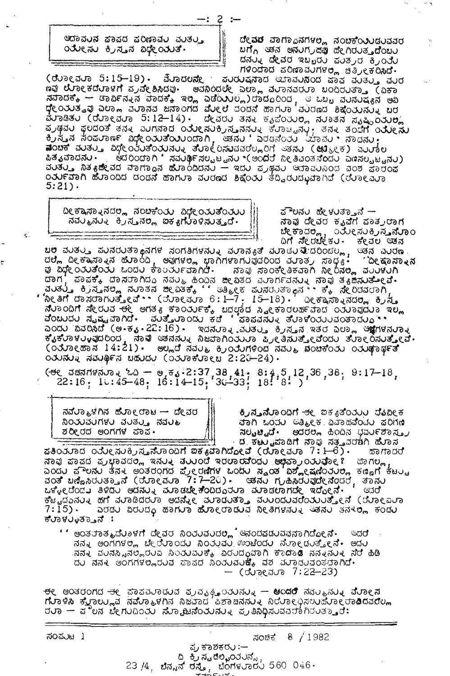ಆದಾವಂನ ಕಾಕದ ಕರಿಣಾವಂ ಮುತ್ತು ುತೀಸು ಕ್ರಿಸ್ತನ ವಿಧೇಯುತೆ.

ದೇ**ವರ** ವಾಗ್ಯಾನಗಳಲ್ಲಿ ನಂಬಿಕೆಂ**ು**ಡುವವರ<br>ಬಗ್ಗೆ ಆತನ ಅನುಗ್ರದರ್ಥ ಹೇಗಿರುತ್ತದೆಂಬು ದನ್ನು ದೇವರ ಇಬ್ಬರು ಪಂತ್ರರ ಕ್ರಿಂತು ಗಳಿಂದಾದ ಪರಿಣಾವುಗಳಲ್ಲಿ ಚಿತ್ರೀಕರಿಸಿದೆ.

(ರೆರಾಲಮಾ 5:15–19) - *ಮೆರಾದಲನೇ* ಪರಿರುಷನಾದ ಇಲಾವರಿನಿಂದ ಪಾಪ ವರತ್ತು ವರರ ಣವು ಲೋಕದೆಲಾಳಗೆ ಪ್ರವೇಶಿಸಿದವು. ಅವನಿಂದಲೇ ಎಲ್ಲಾ ವಲಾನವರಲಾ ಬಂದಿರಲತ್ತಾ (ವಿಕಾ ಸವಾದಕ್ಕೆ – ಡಾರ್ವಿನ್ನನ ವಾದಕ್ಕೆ ಇಲ್ಲಿ ಎಡೆಯುಲ್ಲ)ರಾದ್ದರಿಂದ , ಆ ಒಬ್ಬ ವರನರಷ್ಯನ ಅವಿ<br>ಧೇಂಯತ್ವವು ಎಲಾಗ ವರಾನವ ಜನಾಂಗದ ಮೇಲೆ ದಂಡನೆ ಹಾಗರಾ ವರದೂದ ಶಿಕ್ಷೆಂಯನ್ನು ಬರ ವೆರಾಡಿತರ (ರೆರಾಳಿವರಾ 5:12–14) - ದೇವರರ ತನ್ನ ಕೃಪೆಂತರಲ್ಲಿ ನರಾತನ ನೃಷ್ಟಿಂತರಲ್ಲಿ ೂತ್ಯವಾದನು.<br>ಪಿತೃವಾದನು. ಅದರಿಂದಾಗಿ ನವುರ್ಢಿಸಲ್ಪಟ್ಟನು (ಅಂದರೆ ನೀತಿವಂತನೆಂದು ಎಣಸಲ್ಪಟ್ಟನು)<br>ವುತ್ತು ನಿತ್ಯಜೀವದ ವಾಗ್ದಾನ ಹೊಂದಿದನು — ಇದು ಪ್ರಶ್ನವು ಆದಾವುನಿಂದ ವಂಶ ಪಾರಂಪ ಂರ್ನವಾಗಿ ಹೆರಾಂದಿದ ದಂದನೆ ಹಾಗುರಾ ವುರೂದ ಶಿಕ್ಷೆಂತು ತೆದ್ದಿರುದ್ಭುವಾಗಿದೆ (ರೆರಾಲ್ವರಾ  $5:21$ .

—: 2 :–

ದೀಕ್ಷಾಸ್ನಾನದಲ್ಲಿ ನಂಬಿಕೆಂತು ವಿಧೇಂತುತೆಂತುು ನವರ್ತನರು ಕ್ರಿಸ್ತನಲ್ಲಿ ಐಕ್ಯಗೆರಾಳಿಸುತ್ತದೆ.

¢.

Ĉ

ಪೌಲನ∪ ಹೇಳುತ್ತಾನೆ — ನಾವು ದೇವರ ಕೃವಿಗೆ ಪಾತ್ರಲಾಗ ಬೇಕಾದಲ್ಲಿ, ುತೇಸುಕ್ರಿಸ**್ತನೆ**ರಾಂ<br>ದಿಗೆ ಸೇರಬೇಕು - ಕೇವಲ ಆತನ

.<br>ಬಿಲ್ಲಿ ದೀಕ್ಷಾಸ್ನಾನ ಹೊಂದಿ, ಅವುಗಳಲ್ಲಿ ಭಾಗಿಗಳಾಗುವುದರಿಂದ ಮಾಡುತ್ತಿದರಿಂದಲ್ಲಿ, ಆತನ ಎಂರಣ<br>ಪು ವಿಧೇಂರಂತೆಂರು ಒಂದು ಕಾಂರ್ರವಾಗಿದೆ. ನಾವು ಸಾಂಕೇತಿಕವಾಗಿ ನೀರಿನಲ್ಲಿ ವಂರಳುಗಿ<br>ಪು ವಿಧೇಂರಂತೆಂರು ಒಂದು ಕಾಂರ್ರವಾಗಿದೆ. ನಾವು ಸಾಂಕೇತಿಕವಾಗಿ ನೀರಿನಲ್ಲಿ .<br>, ಪಾವಕ್ಕೆ ದಾಸರಾಗಿದ್ದ ನವುಲ ಹಿಂದಿನ ಜೀವಿತದ ವರಾರ್ಗವನು. ನಾವು ತ<sub>ಿ</sub>ಜಿಸುತ**್**ಟಿ. ದಾಗ ಿ ಸಂತ್ರ ಕ್ರಿನ್ತನಲ್ಲಿ ನುಾತನ ಜೀವಿತಕ್ಕೆ '' ಅತ್ಮೀಕ ಪುನರುತ್ತಾನ ''ಕ್ಕೆ ನೇರಿದವರಾಗಿ, 'ನೀತಿಗೆ ದಾಸರಾಗುತ್ತೇವೆ.` (ರೆುಾಲಮಾ 6:1—7 · 15–18) · ' ಎಲಕ್ಕಾಸ್ನಾನದಲ್ಲಿ ಕ್ರಿಸ್ತ ನೆಲಾಂಧಿಗೆ ಸೇರುವ ಈ ಅಗತ್ಯ ಕಾಂರ್ಯಕ್ಕೆ ಬದಲಾರದ ಸ್ವೀಕಾರಲರ್ಹವಾದ ಂತುಾವುದುಾ ಇಲ್ಲ . ಸಂಬಂಧವಾಗಿದೆ. ಮತ್ತೊಂದು ಕಡೆ 'ಪಾಪವನ್ನು ತೆರಾಳೆಂದುದಂತಾದುವ.<br>"ಎಂದು ಸೃಷ್ಟವಾಗಿದೆ. ಮತ್ತೊರಾಂದು ಕಡೆ 'ಪಾಪವನ್ನು ತೆರಾಳೆಂದುರವಂತಾದುವ".<br>ಎಂದು ವಿವರಿಸಿದೆ (ಅ.ಕೃ.22:16). ಇದನರಾತ್ಮವುತ್ತು, ಕ್ರಿಸ್ತನ ಇತರ ಎಲ್ಲಾ ಆಕ್ಷೆಗಳನ್ನು ಒ ಕೈಕೆಳಾಳ್ಳುವುದರಿಂದ, ಸಾತ್ರ ಆತನನ್ನು ನಿಜವಾಗಿಂತುತ್ತಾ ಪ್ರೀತಿಸುತ್ತೇವೆಂದು ತೆಳಾಲಂಸುತ್ತೇವೆ.<br>(ಂತೋಹಾಸ 14:21). ಅಲ್ಲದೆ ನವು ಕ್ರಿಂತುಗಳಿಂದ ನವು ವಿರುಚಕೆಂತು ಂತುರ್ಥಾತೆ  $\overline{0}$  0 $\overline{1}$  $\overline{0}$  $\overline{1}$  $\overline{0}$  $\overline{1}$  $\overline{0}$  $\overline{0}$  $\overline{0}$  $\overline{0}$  $\overline{0}$  $\overline{0}$  $\overline{0}$  $\overline{0}$  $\overline{0}$  $\overline{0}$  $\overline{0}$  $\overline{0}$  $\overline{0}$  $\overline{0}$  $\overline{0}$  $\overline{0}$  $\overline{0}$  $\overline{0}$  $\overline{0}$  $\overline{0}$  $\overline{0}$  $\over$ 

 $($  +  $($  a and  $($   $)$  a  $)$  a  $\frac{1}{2}$  a  $\frac{1}{2}$  a  $\frac{1}{2}$  a  $\frac{1}{2}$  a  $\frac{1}{2}$  a  $\frac{1}{2}$  a  $\frac{1}{2}$  a  $\frac{1}{2}$  a  $\frac{1}{2}$  a  $\frac{1}{2}$  a  $\frac{1}{2}$  a  $\frac{1}{2}$  a  $\frac{1}{2}$  a  $\frac{1}{2}$  a  $\frac{1}{2}$  a  $\frac{1}{2}$ 

| ನಮಿಲಾ⊾ಳಗಿನ ಹೆಲಾ೦ಲಾಟ — ದೀವರ |  |
|----------------------------|--|
| ನಿಂತುವರಗಳು ವಂತ್ತು ನವುಲ     |  |
| ಶರೀರದ ಅಂಗಗಳ ಪಾಪ•           |  |

ಕೃ**ಸ್ತನೆ**ಳಾಂದಿಗೆ <del>ತ</del>೬ ಐಕ<sub>ಿ</sub>ತಿಂತುಲ ಬೆುವೀಕ ವಾಗಿ ಒಂದು ಅತ್ಮೀಕ ವಿವಾಹವೆಂದು ಪರಿಗಣ ಸಲ್ಪಟ್ಟಿದೆ. ಅದರಲ್ಲಿ ಹಿಂದಿನ ಭವರ್ುಶಾಸ್ತ್ರ ್ ಡ್ರೈಕಟ್ಟುವಾಡಿಗೆ ನ್ಲಾವು ಸತ್ವವರರಗಿ ಹೊಸ

ಕತಿಂತರಾದ ಂತೆಲೀಸುಕ್ರಿಸ್ತನೆರಾಂದಿಗೆ ಐಕ $_{8}$ ಪಾಗಿದೋವೆ (ರೆರಾೂಮರಾ 7:1-6). ಹಾಗಾದರೆ ನಾವು ಪಾಪದ ಪ್ರಭಾವದಲ್ಲಿ ಇನ್ನು ಪುಟ್ಟಂದ ಇರಲಾರವೆಂದು ಅಭಿಪ್ರಾಂಯವೋ ? ಪಾಗಲ್ಲ .<br>ಎಂದು ಪೌಲನ್ನು ತನ್ನು ಅಂತರಂಗದ ಪ್ರೇರಣಿಗಳ ಒಂದು ಸ್ಥಂತ ವಿಶ್ಲೇಷಣಿಂತುಲ್ಲ ಕಣ್ಣಿಗೆ ಕಟ್ಟು aos una diversa (direar 7:7-20). and nand date doub, solar ಒಳ್ಳೇ ದೆಂದು ತಿಳಿದು ಅದನ್ನು ಮಾಡಬೇಕೆಂದಿದ್ದರು ಮಾಡಲಾಗದೇ ಇದೋನೆ. ಆರರ ಕಟ್ಟಿದ್ದನ್ನು ಹಗೆ ಮಾಡಿದರುಾ ಅದನ್ನೇ ಮಾರುತ್ತಾ ವುರಿದರವರೆಂತುತ್ತಾೇನೆ (ಉಾಲವುತಾ<br>7:15) - - ಎರಡು ವಿರುದ್ಧ ಹಾಗುತ ಹೋರಾಡುವ ನೀತಿಗಳನ್ನು ಆತನು ತನ್ನಲ್ಲಿ ಕಂಡು ಕರಾಳರಾತ್ತಾನೆ:

' ' ಅಂತರಾತ್ಮದೆ∪ಾಳಗೆ ದೇವರ ನಿಂರುವುದಲ್ಲಿ ಆನಂದಪಡುವವನಾಗಿದೋನೆ∙ ⊂ದರೆ ನನ್ನ ಅಂಗಗಳಲ್ಲಿ ಬೇಲೆುಾಂದು ನಿಂತುವು ಉಂಟೆಂದು ನೆುಾಂದುತ್ತೇನೆ. ಅದು ನನ∢ ಪರನಸ್ಸಿನಲ್ಲಿರರವ ನಿಂರ∪ಪರಿಕ್ಕೆ ವಿರರದ∂ಪಾಗಿ ಕಾದಾಡಿ ನನ್ನನರ∢ ನೆರೆ ಹಿಡಿ ದು ನನ್ನು ಅಂಗಗಳಲ್ಲಿರುವ ಪಾಪದ ನಿಂತುವುುಕೈ ವಶ ವರಾದುವಂತರಾಗಿದೆ.  $-$  (Juneauro 7:22-23)

<del>ರ</del>ೇ ಅಂತರಂಗದ ಈ ಪಾಪವರಾಡುವ ಪ್ರವೃತ್ತಿ<sub>ತ</sub>ುರುನುತ್ತಿ **ಅಂದರೆ** ನವರತ್ನಿನುತ್ತಿ ವೆರಾಲನ ಗೆುರಾಳಿಸಿ ಕೆಳ್ತಾಲ್ಲುವ ನಮೆುರಾಟಳಿಗಿನ ನಿಜವಾದ ಒಲಾಚನನುು ನಿರುರಾಲಭಿಸಲುವೆುರಾಲರಾದಿದವರೆಲ್ಲ ರುರಾ — ಕಿಲಿನ ಬೇಗುದಿಂತು ಸೆಂಗಮಿಂದುರುವು ಪ್ರತಿನಿಧಿಸುವವರಾಗಿರುತ್ತಾರೆ:

| ಸಂಪುಟ 1 |  |                                                                      |               | ನಂಜಿಕ 8 $/1982$ |  |
|---------|--|----------------------------------------------------------------------|---------------|-----------------|--|
|         |  |                                                                      | ಪ್ರಕಾಶಕರು :-- |                 |  |
|         |  | - ದಿ ಕ್ರಿಸ್ಟಡೆಲ್ಕಂತರನ್ನೆ,<br>23 /4, ಬೆನ್ನನ್ ರಸ್ತೆ, ಬೆಂಗಳರಾರರ 560 046 |               |                 |  |
|         |  |                                                                      |               |                 |  |
|         |  |                                                                      |               |                 |  |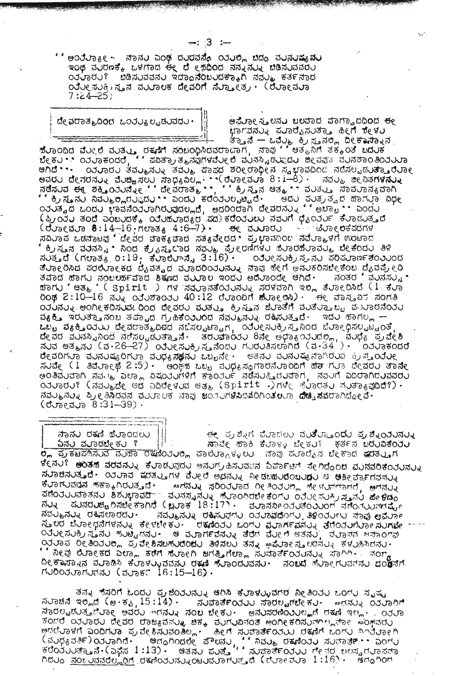' ' ಅಂರೆರಾ $\overline{\mathfrak{s}}$ ಲ್ಲಿ ನಾನರಿ ಎಂಥ ದರದನ್ನೆ ರಿರರಲ್ಲಿ ಬಿದ್ದ ವರನರಷ್ಯವರ ಇಂಥ ವರರಣಕ್ಕೆ ಒಳಗಾದ ಈ ದೆ ೯್ರೆದಿಂದ ನನ್ನನ್ನು ಬಿಡಿಸುವವರು ಂತುವರು? ಬಿಡಿಸುವವನು ಇದಾಂನೆಂಬುದಕ್ಕಾಗಿ ನವ್ಮು ಕರ್ತನಾದ ಂತೆಲೕ ಸುಕ್ರಿ ಸೃನ ವುಲಾಲಕ ದೇವರಿಗೆ ಸೆಲ್ತಾೕತ್ರ • (ರೆಲಾೕಾಮಾ  $7:24 - 25$ 

. 3 :--

ದೇ ವರಾತ್ಮವಿಂದ -ಒಂತ್ಯು ಲ್ಪಡುವದು

ಅವೆರಾಲಸ್ತುಲನರ ಬಲವಾದ ವಾಗ್ವಾದದಿ**ಂ**ದ <del>ರ</del>ಲ ಭಾಗವನ್ನು ಪರಾರೈಸುತ್ತಾ ಹೀಗೆ ಕೇಳರ

್ಲಿಗೆ ಸ್ಪಾನ್ನು ನಿಮ್ಮುಂದಿದ್ದು, ಸಮಾವ್ಯ ಕ್ಷೇತ್ರಗಳುವರೆ ಕಾರಣಸ್ಥಿತಿತ್ವವರ ಪರಿಷ್ಠಾರ ಸದೆಸಲ್ಪಡುತ್ತಾರೆರಾಗಿ<br>ಅಗಿದೆ \* \* ರಾಂತಾರು ತಮ್ಮುನಲ್ಲು ತಮ್ಮು ಪಾಪದ ಶರೀರಾಧೀನ ಸ್ವಭಾವದಿಂದ ನದೆಸಲ್ಪಡುತ್ತಾರೆರಾಗಿ<br>ಕ್ಷವೆ ಕ್ಷೇತ್ರಗಳನ್ನು ಮೊದಲು ಸಾಧ್ಯವಿಲ್ಲ \* \* (ರೆಲ odua a nodu zradnoduandvadumd, edogdan deadnuk "eura" aodu (ಫ್ರಾಂಶು) ತಂದೆ ಎಂಬುದಕ್ಕೆ ಯುಹುರಾದ $s$ ರ ಮು)ಕರೆಂತುಲು ನವುಗೆ ಧೈನಿಂತರ್ ಕೆಲಾಡುತ್ತದೆ (ರುಾಂಮರಾ 8:14–16 ಗಲಾತ್ಯ 4:6–7) - ಅಂ ಮುರಾರು - ಪ್ರಚಾಂಲಕವರಗಳ<br>ಸವಿಲಾವ ಒಡನಾಟವು ದೇವರ ವಾಕ್ಯವಾದ ಸತ್ಯವೇದದ ಪ್ರಭಾವದಿಂದ ನವೆಲ್ಮಾಳಗೆ ಊಟಾದ ್ ಕ್ರಿ.ಸ್ತನ ವರನಸ್ಸಿ \* ನಿಂದ ಕ್ರೈನ್ವಾರಾದ ನವ್ಮು ಪ್ರೇರಣಿಗಳು ಪರಾರಹರಾವರ್ತಿ ಬೀಕಂದು ತಿಳಿ<br>ಸುತ್ತದೆ (ಗಲಾತ್ಯ ರಿ:19, ಕರಾಲರಾನ್ನೆ 3:16) - \_\_ ಂತರೀಸರಕ್ರಿಸ್ತನು ಪರಿಷರಾರ್ಣತಂತ್ರ ಂ೨ೆರೀ ಸರಕ್ರಿ ಸ್ತ-ನರ್\_ಪರಿಷರಾರ್ಣತೆಂ೨ರಂದ ತೆಲಾಲರಿಸಿದ ಪರಲಿಲಾಲಕದ ದೈವತ್ವದ ಮೂದರಿಂತಲನಲ್ನು ನಾವು ಹೇಗೆ ಅನಲಕರಿಸಬೇಕೆಂಬ ದೈವಪ್ರೇರಿ ತವಾದ ಹಾಗು ನಂಬಲರ್ಹವಾದ ಶಿಕೂದ ವಯಾಲ ಇಂದು ಅದೆುಾಂದೇ ಆಗಿದೆ• ನಂತರ ' ವುನಸ್ಸು • ี สอกม " แสง " ( Spirit ) กรี สีสมอสีสีอังบลับง สีชีรสอก จ. สมอคอมนี (1 สมอ<br>ออส 2:10-16 สมง องมีของวัน 40:12 ชี้มอออก สมอคอม) · ซีค์ สีอสังค์รักสอกล ಂತುನುನು ಅಂಗೀಕರಿಸುವ ರಿಂದ ದೇವರು ವುತ್ತು ಕ್ರಿಸ್ತನ ಜಿುಾತೆಗೆ ವುತ್ತುವ್ಯಾಬ್ಬ ವ ಬಾರನೆಂತು ವ್ಯಕ್ತಿ ಇರುತ್ತಾನಂಬ ತಪ್ಪಾದ ಗ್ರಹಿಕೆಂತುರದ ನವುತ್ತನುತ್ತಿದೆ. ಇದು ಹಾಗಲ್ಲ — ಒಬ್ಬ ವ್ಯಕ್ತಿಯಲ್ಲ ದೇವರಾತ್ಮದಿದದ ನದಿಸಲ್ಪಟ್ಟಾಗ, ಯಲೀಸುಕ್ರಿಸ್ತನಿಂದ ಬೆರಾನಿಧಿಸಲ್ಪಟ್ಟಂತೆ ದೇವರ ವರನಸ್ಸಿನಿಂದ ನಡೆಸಲ್ಪಡುತ್ತಾನೆ. ತರುವಾರರು 8ನೇ ಅಥಾಸ್ವಾರುದಲ್ಲ, ವರನ್ನ ಪ್ರವೇಶಿ<br>ಸರವ ಅತ್ಮನರ (ವ.26–27) ಂತರೀಸರಕ್ಕಿಸ್ತನೆಂದರ ಗುರರತಿಸಲಾಗಿದೆ (ವ.34 ) - ರತರಾಕಂದರೆ deaonyp สมุสมสายที่ขอ สมุตรสีสีสม แข็งสะ · ๒๕สม สมสมสารกอบส 3 สั่งสมุด ಸುವೇ (1 ತಿವೆುಾ೯ಥೆ 2:5) - `ಅಂಥ್ರಿಕ ಒಬ್ಬ ವುಧ್ಯಸ್ಥಗಾರನೆುಾಂದಿಗೆ ಹಾ ಗುಾ ದೇವರು ತಾನೇ ಅ೦ತಿವುವಾಗಿ ನವ್ಮು ಎಲ್ಲಾ ವಿಷಯಗಳಿಗೆ ಕಾಂತರ್ರ ನಡೆಸುತ್ತಿರುವಾಗ, ನವುಗೆ ಎದಿರಾಗಿರುವವರು oduಾರು? (ನವುುವೇ ಅದ ಎದಿರೇಳುವ ಆತ್ಮ (Spirit .)ಗಳೇ ಹುಾರತು ನುತ್ಯಾವುದಿದೆ?). ನವರ್ತ್ಯನರ್ನಾಷ್ಟ್ರೀತಿನಿದವನ ವರ್ರಾಲಕ ನಾವು ಜಂತರಗಳಿಸಿದವೆರಿಗಿಂತಲರಾ ದೆಚ್ಚಿನವರಾಗಿದ್ದೋವೆ.  $(d$ Udedua  $8:31 - 39)$ .

ನಾನು ರಕ್ಷ ಹೆುಾಂದಲು <del>ಈ</del> ಪ್ರಶ್ನೆಗೆ ವೆಳಾದಲು ವ**ತಿ**ಲ್ತ**ಂದು ಪ್ರಶ್ನೆಯನು<sub>ತ</sub>** <u>ವಿನ್ನು</u> ವರಾಡಬೇಕರ ? ನಾಜೀ ಹಾಕಿ ಕೆ∪ಾ೪್ಯ ಬೇಕ∪್ ಕರ್ತನ ಬರ∪ವಿಕೆಂರ∪ ಲ್ಲಿ ಪ್ರಕಟಪಡಿಸುವ ವುಹಾ ರಕ್ಷಣಿಂತುಲ್ಲ ಪಾಲ್ಗೊಳ್ಳಲು ನಾವು ಪುಾರೈಸ ಬೇಕಾದ **ಷರತ್ತುಗ** ಳೇನರ್ ಆಂತಹ ವರವನ್ನು ಕೆರಾಡರಾ್ಯ ಅನರ್ಗ್ರಹಿಸರವಾಗ ದಿರ್ಪಾಟಗ ಸೇಗಿದೊಂದ ಮರನವರಿಕೆಂತರನ್ನು ಸರಾಜಿಸರತ್ತವೆ. ಯರಾವ ಷರತ್ನುವಗಳ ವೆರ್ರಲೆ ಅವನರು ನೀಡಬಹರಿದೆಂಬರವು ಆ ಆಶೀರ್ವಾಗವನರು ಕೆಲಾಗುವವನ ಸಕ್ಕಾಗಿರುತ್ತವೆ. | ಅಗನಲ್ನ ಸರಿಂತಲಾದ ರೀತಿಂತಲಲ್ಲಿ ಸೇಳುವಾಗದೆ, ಆಗನಲ್ನ ฉี่สื่อวับบรอสสบ ฮิซึ่งขอสต้า สบสส.สิบูง สืบออกชนครือที่บ อวบคสบบ สังสมบั ซึ่งชื่อด ಹುನರುಚ್ಚರಿನಬೇಕಾಗಿದೆ (ಬೂಕ<sup>1</sup>18:17) ಹುರಾನನೀಂತುತಂತುಂಗ ನಡೆಂತುವಾಗಷ್ಟೇ ನ್ನು ನವರ್ತ್ಮರು ರಕ್ತಿಸಲಾರದರ್. ನವರ್ತ್ಯನರ್ತ್ನ ರಕ್ತಿಸರಘ್ತಗರ ೧ತರಾವದೆಂಗರ, ತಿಳಿಂತರಲು ಸಾವು ಅಭೆರ್ವಾ ಸ್ಮಲರ ಬೆರಾಲಧನೆಗಳನ್ನು ಕೇಳಬೇಕರು. ರಕ್ಷಣಿಂತರ ಒಂಗು ಪ್ರಾರ್ಗಮನ್ನು ತೆರೆಂತರಾಗುರ್ತವರಗಳೂ ಂತೆಲಲಸಲಕ್ಷ್ಯಿಸುವನಲ ಸಂಟ್ವಾಗನಲ್ಲಿ ಆ ಮಹಾರ್ಗವನಲ್ಲು ತೆರೆಗ ಮೋಲಿ ಅತನಲ್ಲ, ಮಹಾನನ ಜನಾಂಗವ ್ತಿರುಾವ ರೀತಿಂರುಲ್ಲ ಪ್ರವೇಶಿಸಬಹುದೆಂದು ತಿಳಿಸಲು ತನ್ನ ಅಮೆರಾಲಸ್ತ್ರೇರನ್ನು ಕಳುಹಿಸಿದನು. com dure to derm that sure and der dutre to during trans. Tong ದೀಕಾನ್ನಾನ ಮಾಡಿಸಿ ಕೆಲಾಳಲ್ಳವವನು ರಕ್ಷಣೆ ಸೆಲಾಂದುವನು.- ನಂಬದೆ ಸೆಲಾಲಗುವವನು ದಂ**ರ**ನಗೆ<br>ಗುರಿಂತಲಾಗುವನು (ಮಾರ್ಕ 16:15—16).

ತನ್ನು ಸೆಸರಿಗೆ ಒಂದು ಪ್ರೈಜೆಂತುನ್ನು ಆರಿಸಿ ಕೆರಾಳುಳವೆಗರ ನೀತಿಂತು ಒಂಗು ಸೃಷ್ಟ ಸರಾಚನೆ ಇಲ್ಲಿದೆ (ಅ.ಕೃ. 15:14) - — ಸರ್ವಾತಕ್ರವರು ಸಾರಲ್ಟ್ರಡಬೇಕರ - \_ ಅನನ್ನು ರಿರರಾರಿಗೆ ಸಾರಲ್ಪಡುತ್ತದೆರಾ೯ ಅವರು ಅಗನುಷ್ಠ ನಂಬ ಬೇಕು. ಅನುಸರಣಿಂತುಲ್ಲದೆ ರಕ್ಷಣೆ ಇಲ್ಲ. ಂತರಾ ಗಿದರೂ <u>ನರೀರವನರೆಲ್ಲರಿಗೆ ರ</u>ಹಣಿಯನ್ನುರಚರಮಾಗರತ್ತದೆ (ರರ್ರಾವರಾ 1:16) - ಅಗೂಗಿಂಗ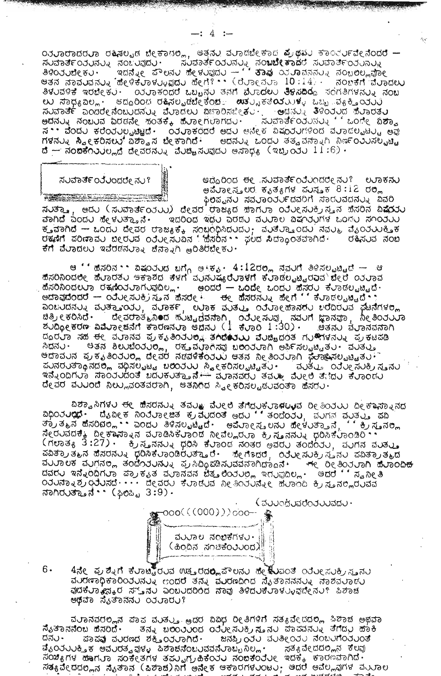od population danse de tomo , esto diverse a que todo todo -ಸಂವಾರ್ತಂತರನ್ನು ನಂಬರಪುರು. ಸಂಪಾತ್ರ ಸಂಬಸ್ಸು ನಂಬಬೇಕಾದರೆ ಸಂವಾರ್ತಂತರಾತ್ರ<br>ತಿಳಿಂತರಬೇಕು. ಇದನ್ನೇ ಪೌಲನು ಪೇಳುವುದು – '' ತಾವು ಯೂವನನ್ನು ನಂಬಲಲ್ಲವೋ esoood com in the community of the community of the control of the constitution of the control of the control o ತಿಳುವಳಿಕೆ ಇರಬೇಕು · ಂತುಾಕಂದರೆ ಒಬ್ಬನು ತನಗೆ ವೆುಾದಲು ತಿಳಿಸದಿರೂ ಸಂಗತಿಗಳನು ಸಂಬ <u> ಉ ಸಾಧ್ಯವಿಲ್ಲ - ಅದ್ದರಿಂದ ರಹಿಸಲ್ಪಡೆಬೇಕೆಂದು ಉತ್ಪ್ಯಾಕತೆಯುುಳ್ಳ ಒಬ್ಬ ವ್ಯಕ್ತಿಯುವಿ</u> สมสวยรั่ออดสอบสอบมสมัน สมอดียม อะรออสนอสม ซีสอม 3000 ซึมออยิม  $d$  — ನಂದಿಕೆಂತರಲ್ಲದೆ ದೇವರನ್ನು ವೆರಚಿ<sub>ಚಿ</sub>ಸುವುದರ ಅಸಾಧ್ಯ (ಇಬ್ರಂತರ 11:6).

## ಸುವಾರ್ತೆಂತರಂದರೇ ನು?

ಆದ್ದರಿಂದ ಈ ಸುಮಾರ್ತೆಂರೆರಿಂದರೇ ನು? ಲುಾಕನು ಅವೆರಾಲಸ್ತ್ರಲರ ಕೃತ್ಯಗಳ ಪುಸ್ತಕ 8:12 ರಲ್ಲಿ ಫಿಲಿಪ್ಟನು ಸವುರಾಂತರ್ತದವರಿಗೆ ಸಾರುವದನ್ನು ಏವರಿ

ಸುತ್ತಾ, ಆದು (ಸುವಾರ್ತಂತುು) ದೇವರ ರಾಜ್ಯದ ಹಾಗುಾ ಂತುಲಸುಕ್ರಿಸ್ತನ ಹೆಸರಿನ ವಿಷೆಯು ವಾಗಿದೆ ಎಂದು ಹೇಳುತ್ತಾನೆ. ಇದರಿಂದ ಇದು ಎರಡು ವುರಾಲ ವಿಷ೧ರುಗಳ ಒಂದು ಸ೧೦ರುು ಕೃತವಾಗಿದೆ – ಒಂದು ದೇವರ ರಾಜ್ಯಕ್ಕೆ ಸಂಖ್ಯಂಧಿಸಿದುದು; ವುತೆರ್ುಾಯ ಸವುತ್ತಿ ವೈಂರುವುಕ್ತಿಕ<br>ರಕ್ಷಣೆಗೆ ಪರಿಣಾವು ಬೀರುವ ಂರೆಂಸಿನುವಿನ 'ಹೈಸರಿನ•• ಫಲದ ಸಿದ್ಧಾಂತವಾಗಿದೆ∙ – ರಕ್ಷಿಸುವ ನೆಂಬ ಕೆಗೆ ವೆಲಾದಲು ಇವೆರಡನುರಾಃ ಜೆನ್ನಾಗಿ ಅರಿತಿರಬೇಕು.

ಹೆಸರಿನಿಂದಲೇ ಹೆಲಾರತಲ ಅಕಾಶದ ಕೆಳಗೆ ವರನರಷ್ಯ**ರೆಲಾಳಗೆ ಕೆ**ಲಾಡೆಲ<sub>ಖ</sub>ಟ್ಟರವಾ<sup>\</sup> ವೇರೆ ೦ತರಾವ ಹೆಸರಿನಿಂದಲುಾ ರಕ್ಕೆಂರುರಾಗುವುದಿಲ್ಲ. ಅಂದರೆ – ಒಂದೇ ಒಂದು ಹೆಸರು ಕೆರಾಡಲ್ಪಟ್ಟಿದೆ. ಅದಾವುದೆಂದರೆ — ಯಲೀಸುತ್ತಿಸ್ತನ ಹೆಸರೇ ಕ್ಯ ಹೆಸರನ್ನು ಹೇಗೆ '್ಕೆರಾಡಲ್ಪಟ್ಟಿದೆ್ಾ ออยปีผสบอย สบสัญจรับ, สบองส บอล สบสบ องบอดสอสสบ ยอลอบส์ สัมสักษอ . ಜಿತ್ರೀಕರಿಸಿದೆ∙ ದೇವರಾತ್ಮನಿ∎ದ ಹುಟ್ಟಿದವನಾಗಿ, ಂತೋಸುವು, ನವುಗೆ ಜ್ಞಾನವಾ, ಸೀತಿಂತುಎಂ<br>ಶುದ್ರೋಕರಣ ವಿಷ್ಣೋಕನೆಗೆ ಕಾರಣನ್ನೂ ಅದನು (⊥ ಕೈಂರಿ 1:30) · ಅತನು ವೈಾನವನಾಗಿ ದೂರುಾ ನಹ <del>ರ</del>ೇ ವುಾನವ ಪ್ರಕೃತಿಂತು**ಲ್ಲ ತಗಿದೆಯು ವ**ುಚ್ಚಿದಂತ ಗು.®ಗಳನ್ನು ಪ್ರಕಟಪಡಿ ಸಿದನ್ನು ಅತನ ಶಿಲುಬೆಂತುರೆಲ್ಲ, ರಕ್ತವವಾಗಿಸವು ಬರಂತವಾಗಿ ಅರ್ಪಿಸಲ್ಪಟ್ಟಿತು. ವರತ್ತು<br>ಅದಾವರನ ಪ್ರಕೃತಿಂತುರಿಲ್ಲ ದೇವರ ನಡವಳಿಕೆಂತುರು ಆತನ ನೀತಿಂತುವಾಗಿ <del>ಭೆರಾ</del>ತಿಸಲ್ಪಟ್ಟಿತು. ಪುನರುತ್ತಾಾನದಲ್ಲಿ ವಧಿಸಲ್ಪಟ್ಟ ಬಲಿಂತುು ಸ್ಥೀಕರಿಸಲ್ಪಟ್ಟಿತು . ಪುತ್ತು ಂತೋಸುಕ್ರಿಸ್ತನು ಇನ್ನೆಂದಿಗ∪ಾ ಸಾಂತರುದಂತೆ ಬದಲಕಲತ್ತಾನೆ.— ಮೂನವರಲ ತವಲ⊵ ವೆಲ€ಲಿ ತೆ;ಿದಲ ಕೆಲಾಂದಲ ದೇವರ ವರಿರಿಂದೆ ನಿಲ್ಲುವಂತವರಾಗಿ, ಅತನಿಂದ ಸ್ವೀಕರಿಸಲ್ಪಡುವಂತಾ ಹೆಸರು.

ವಿಶ್ವಾಸಿಗಳು ಈ ಹಿಸರನ್ನು ತವು⊎ ವೆುಲ್ ತೆಗೆದುಕುರಾಳ⊍ಳವ ರೀತಿಂತುು ದೀಕ್ಷಾಸ್ನಾನದ apojuat. d'are poquesa e acce da anicor a coco e acesa ತ್ರುತ್ಮನ ಹೆಸರಿದಲ್ಲಿ . ಎಂದು ತಿಳಿಸಲ್ಪಟ್ಟಿದೆ. ಅಮೆರಾ೯ಸ್ಮಲನು ಹೇಳುತ್ತಾನೆ, '' ಕ್ರಿಸ್ತನಲ್ಲ ನೇರುವದಕ್ಕೆ ದೀಕಾನಾನನ ವುಾಡಿಸಿಕೆುಾಂದ ನೀವೆಲ್ಲರುವ ಕ್ರಿಸೂನನ್ನು ಧರಿಸಿಕೆುಾಂಡಿರಿ . (Huda, 3:27). 8 Ashall por flood hoso wadu sododu, aunh ausus ವವಿತ್ರಾತ್ಮನ ಪೆನರನ್ನು ಧರಿಸಿಕೆ ರಾಂಡಿರುತ್ತಾರೆ. ಪೇಗೆ ಾದರೆ, ರಿರೋಸುಕ್ರಿಸ್ತನು ಪವಿತ್ರಾತ್ಮದ ವರ್ುಾಲಕ್ ವರಿಗನರಿ<sub>ಗೆ</sub> ತಂದೆಗಿರರನ್ನು ಪ್ರಸಿದ್ಧಿಪಡಿಸರವವನಾಗಿದ್ದಾನೆ. <del>ಗ</del>ೇರಿ ಅತಿಂತರಾಗಿ ಹೆರಾಂದಿ<del>ದ</del> dadu จสิงออกบอ สอ รอง สบอสสส ซึ่ง dodue จุดบออย... edd ''สอ อย 3 ೦ರ∪ನಾನಿಶ್ರಾಂರುಸದೆ · · · · ದೇವರು ಕೆಲಾಡೆ∪ವ ನೀತಿಂತಲನ್ನೇ ಹೆಲಾಂದಿ ಕ್ರಿಸ್ತನಲ್ಲಿರುವವ ನಾಗಿರುತ್ತಾನೆ•• (ಫಿಂಪ್ಟಿ 3:9).

 $\zeta$ ವರಾಂಧರಿಸರೆಂತರಾವರು  $\cdot$ 



 $6 \cdot$ 4ನೇ ಪ್ರಶ್ನಿಗೆ ಕಿಲಾಟ್ಫಿರುವ ಊತ**ರದಲ್ಲ**ಪೌಲನು ಹೇ**ತೆು**ವಂತ ೧ನೆಲೕಸುಕ್ರಸ**ವ**ನು audrapa dodunus cond sns audrana กุมรอกการเลือนอันดิน ವುದಕಲಾ<sub>ಕಿ</sub>ದಕರ ಸ್ತುನು ಎಂಬುದರಿಂದ ನಾವು ತಿಳಿದುಕಲಾಳು<sub>ಳ</sub>ಘ್ನೇನು? ಪಿಶಾಚ ಆಥವಾ ಸೈತಾನನು ೦ನುಾರು?

ವರಾನವರಲ್ಲಿನ ಪಾಪ ವರತ್ತು. ⊛ದರ ವಿವಿಧ ರೀತಿಗಳಿಗೆ ಸತ್ಯವೇದದಲ್ಲಿ ಸಿಶಾಚ ಅಥವಾ ಸೈತಾನನೆಂಬ ಹೆಸರಿದೆ. \_ ತನ್ನು ಬಲಿಂತುಂದ ಂತೆವೀಸವಕ್ರಿಸುವು ಪಾಪವನ್ನು ತೆಗೆದ್ದು ಹಾಕಿ ಜನಪ್ರಿಂತಲ ಮುತೀಂತಲ ನಂಬುಗೆಂತಲಂತೆ ದನು. ಪಾಪವು ವುರಣದ ಶಕ್ತಿಂರುರಾಗಿದೆ. ಡೈರಿರರರುತ್ತಿಕ ಅವರರತ್ವವುಳ್ಳ ಪಿಶಾಚನೆಂಬರವವನೆರಾಬ್ಬನಿಲ್ಲ . ಪತ್ಯವೇದದಲ್ಲಿನ ಕೆಲವು ಸಂಖ್ಯಾಗಳ ಹಾಗರಾ ಸಂಕೇತಗಳ ತಮ್ಮಗ್ರಹಿಕೆಂತರ ಸಂಚಾಕಂತರ ಇದಕ್ಕೆ ಕಾರಣವಾಗಿದೆ.<br>ಸತ್ಯಾವೇದದಲ್ಲಿನ ನೈತಾನ (ಹಿಶಾಹ)ನಿಗೆ ಅನೇಕ ಆಕಾರಗಳರಂಟರ; ಆದರೆ ಅವೆಲ್ಲವುಗಳ ವಯಾಲ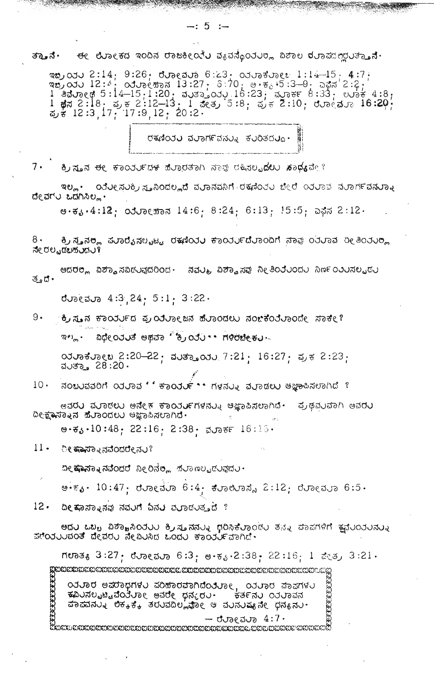ಈ ಲೌಲಾ€ಕದ ಇಂದಿನ ರಾಜಕೀ⊙ನಿಲ ವ&ವಸೊ೦ತಲ್ಲ ವಿಶಾಲ ರುರಾಪದಲ್ಲಲತ್ತೂನೆ. ತ್ತಾನೆ.

ಇಬ್ರಯು 2:14; 9:26; ರೋಮು 6:23: 03 ರಾಕೋ 1:14-15. 4:7. and du 12:4. advector 1.13. 00000062. 1.14-10; 4:7;<br>and du 12:4. advector 13:27; 3:70; 0.56. 5:3-0; add 2:2;<br>1 advect 5:14-15;1:20; auso\_ody.16:23; avec 6:33; 0006 4:8;<br>1 advect 5:18; a, x, x 2:12-13; 1 acq, 5:8; a, x 2:1

ರಕಣಿಂರು ವುಾರ್ಗವನ್ನು ಕುರಿತದು.

 $7 \cdot$ ಿಕ್ರ**ಸ್ತನ ಈ** ಕಾಂರರ್ರದಕ ಹೆರಾರತಾಗಿ ನಾವು ರಕ್ಕೊರ**ುದಲು ಸಾಧ್ಯ**ವೇ ?

ಇಲ್ಲ• ಂರೆಲೕನರ್ಲ್ರಿಸ್ತನಿಂದಲ್ಲದೆ ವರಾನವನಿಗೆ ರಕ್ತಣಿಂತರ ಬೇರೆ ೧ತರಾವ ವರಾಗ೯ವನರಾತ ದೇವಗು ಒದಗಿಸಿಲ್ಲ.

 $e.3.4:12$ : 03.00 $e$   $\overline{5}$  03.14:6: 8:24: 6:13: 15:5: 0 $\overline{5}$  03.12.

ಕ್ರಿಸ್ತನರ್ಲ ಪುಾರೈಸಲ್ಟಟ್ಟ ರಕ್ಷಣಿಯು ಕಾಂರ್ನುದೆುಾಂದಿಗೆ ನಾವು ಂತುಾವ ರೀತಿಂತುರ್ಲ  $8 \cdot$ ನೇ ರಲ್ಪಡಬಹ*ು*ದರ್

ಅದರಲ್ಲಿ ವಿಶ್ವಾಸವಿಡುವುದರಿಂದ ಹವುತ್ತ ವಿಶ್ವಾಸವು ನೀತಿಂತೆುಂದು ನಿರ್ಣಂತುಸಲ್ಪ್ರದು ತ∘ದ•

 $J$ U<sub>2</sub>( $J$ u<sub>2</sub> 4:3 24 5:1  $3:22$ 

 $9.$ ಕ್ರಿಸೂನ ಕಾರುರ್ಯದ ಪ್ರಂತಿಲಾಲಜನ ಹೆಲಾಂದಲು ನಂಚಿಕೆಂತಿಲಾಂದೇ ಸಾಕೀ?

ಇಲ್ಲ. ವಿಧೇರಿತತೆ ಅಥವಾ 'ೈರಿತು' ಗಳಿರಬೇಕು.

 $\omega$ ശർശ $\omega$  2:20-22  $\cdot$  ქაძეე $\omega$  7:21  $\cdot$  16:27  $\cdot$  ქა $\neq$  2:23  $\cdot$ ವರ್ು 28:20.

สอยบสสอก องบอส ' ขอดงษ์ \*\* กรสบง สบอสยบ และอะสยอกส ?  $10 \cdot$ 

ಅವರ∪ ವುರಾಡಲು ಅನೇಕ ಕಾಂರು⊭ಗಳನ್ನು ಅಜ್ಞಾಪಿಸಲಾಗಿದೆ∙ ಪ್ರಥವುವಾಗಿ ಅವರು ದೀಕ್ಷಾಮಾನು ಹೆಲಾಂದಲು ಆಜ್ಞಾಪಿಸಲಾಗಿದೆ.

ಅ.ಕೃ.10:48, 22:16, 2:38. ವರ್ರಾಕ್ 16:16.

 $11 -$ ೀ ಕಾವ್ಯಾನವೆಂದರೇನು?

ದೀ**ಷಾನ್ನಾನವೆಂದರೆ** ನೀರಿನೆ**ಲ್ಲ** ಹಲಾ*ಣಲ್ಪಡ*ಲವುದು .

ಅ•್∂• 10:47 · ರುರಾಲಮರಾ 6:4 · ಕುರಾಯಾಸ್ಗೆ 2:12 · ರುರಾಲಮರಾ 6:5 ·

12. ದೀ ಕಾಸ್ಮಾನವು ನವುಗೆ ದಿನರ ಪರಾಡುತ್ತದೆ ?

ಅದರ ಒಬ್ಬ ವಿಶ್ವಾಸಿಯರ ಕ್ರಿಸ್ತನನ್ನು ಧರಿಸಿಕೆರಾಂಡು ತನ್ನ ಪಾಪಗಳಿಗೆ ಕ್ಷಮೆರಿಯನ್ನು ಪ್ರಂತುವಂತೆ ದೇವರು ನೇವಿುಸಿದ ಒಂದು ಕಾರ್ಯವಾಗಿದೆ.

ಗಲಾತ<sub>ಕಿ</sub> 3:27<sub>:</sub> ರೆರಾೕುವರಾ 6:3; ಅ.ಕ್ಯ.2:38; 22:16; 1 ಪೇತ್ರ 3:21.

 $\begin{picture}(180,100) \put(0,0){\vector(0,0){180}} \put(0,0){\vector(0,0){180}} \put(0,0){\vector(0,0){180}} \put(0,0){\vector(0,0){180}} \put(0,0){\vector(0,0){180}} \put(0,0){\vector(0,0){180}} \put(0,0){\vector(0,0){180}} \put(0,0){\vector(0,0){180}} \put(0,0){\vector(0,0){180}} \put(0,0){\vector(0,0){180}} \put(0,0){\vector(0,0){180}} \put(0,0){\$ 

 $-$  dues due  $4:7$ .

water the control of the control of the control of the control of the control of the control of the control of<br>Material or the control of the control of the control of the control of the control of the control of the cont